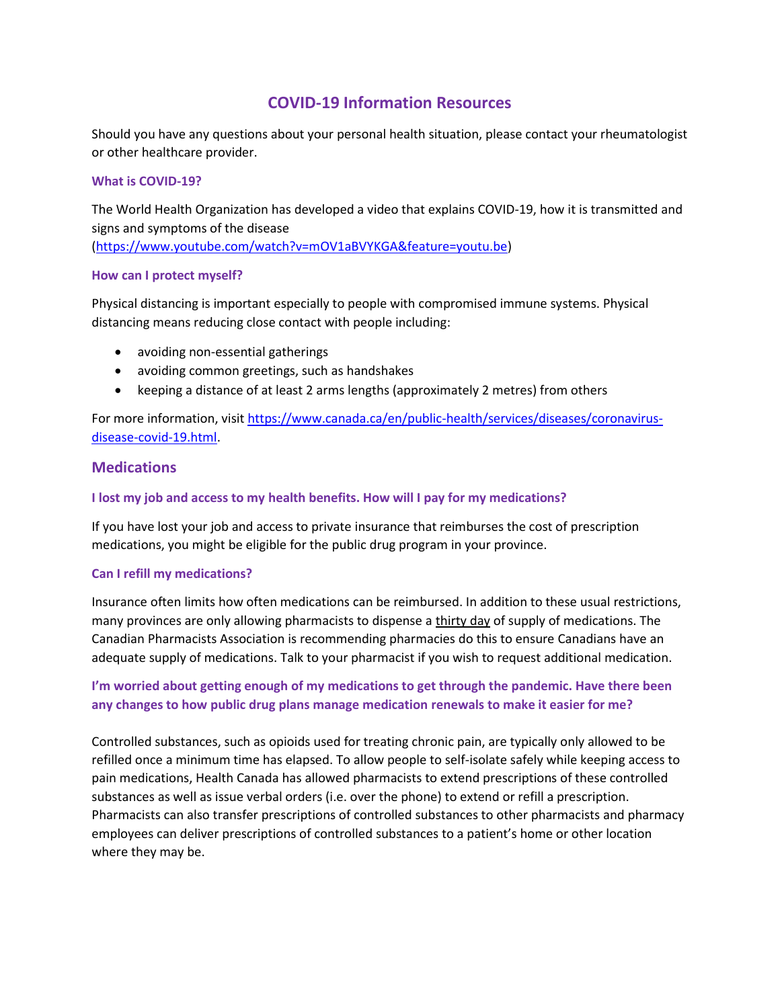# **COVID-19 Information Resources**

Should you have any questions about your personal health situation, please contact your rheumatologist or other healthcare provider.

#### **What is COVID-19?**

The World Health Organization has developed a video that explains COVID-19, how it is transmitted and signs and symptoms of the disease [\(https://www.youtube.com/watch?v=mOV1aBVYKGA&feature=youtu.be\)](https://www.youtube.com/watch?v=mOV1aBVYKGA&feature=youtu.be)

#### **How can I protect myself?**

Physical distancing is important especially to people with compromised immune systems. Physical distancing means reducing close contact with people including:

- avoiding non-essential gatherings
- avoiding common greetings, such as handshakes
- keeping a distance of at least 2 arms lengths (approximately 2 metres) from others

For more information, visi[t https://www.canada.ca/en/public-health/services/diseases/coronavirus](https://www.canada.ca/en/public-health/services/diseases/coronavirus-disease-covid-19.html)[disease-covid-19.html.](https://www.canada.ca/en/public-health/services/diseases/coronavirus-disease-covid-19.html)

### **Medications**

#### **I lost my job and access to my health benefits. How will I pay for my medications?**

If you have lost your job and access to private insurance that reimburses the cost of prescription medications, you might be eligible for the public drug program in your province.

#### **Can I refill my medications?**

Insurance often limits how often medications can be reimbursed. In addition to these usual restrictions, many provinces are only allowing pharmacists to dispense a thirty day of supply of medications. The Canadian Pharmacists Association is recommending pharmacies do this to ensure Canadians have an adequate supply of medications. Talk to your pharmacist if you wish to request additional medication.

## **I'm worried about getting enough of my medications to get through the pandemic. Have there been any changes to how public drug plans manage medication renewals to make it easier for me?**

Controlled substances, such as opioids used for treating chronic pain, are typically only allowed to be refilled once a minimum time has elapsed. To allow people to self-isolate safely while keeping access to pain medications, Health Canada has allowed pharmacists to extend prescriptions of these controlled substances as well as issue verbal orders (i.e. over the phone) to extend or refill a prescription. Pharmacists can also transfer prescriptions of controlled substances to other pharmacists and pharmacy employees can deliver prescriptions of controlled substances to a patient's home or other location where they may be.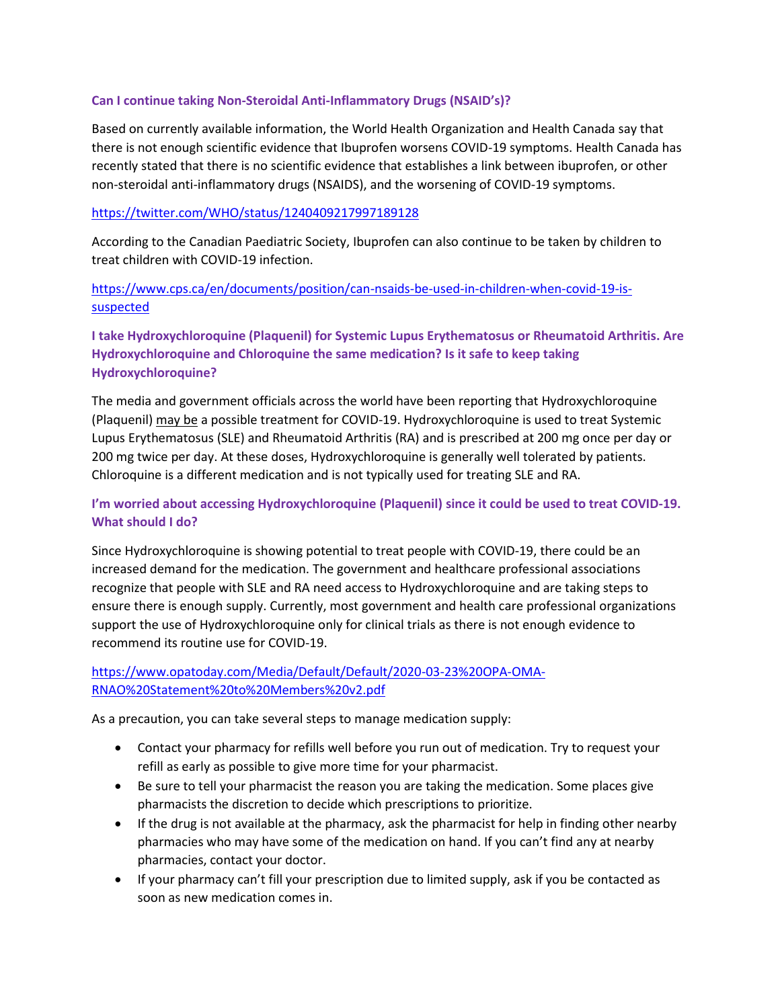#### **Can I continue taking Non-Steroidal Anti-Inflammatory Drugs (NSAID's)?**

Based on currently available information, the World Health Organization and Health Canada say that there is not enough scientific evidence that Ibuprofen worsens COVID-19 symptoms. Health Canada has recently stated that there is no scientific evidence that establishes a link between ibuprofen, or other non-steroidal anti-inflammatory drugs (NSAIDS), and the worsening of COVID-19 symptoms.

### <https://twitter.com/WHO/status/1240409217997189128>

According to the Canadian Paediatric Society, Ibuprofen can also continue to be taken by children to treat children with COVID-19 infection.

### [https://www.cps.ca/en/documents/position/can-nsaids-be-used-in-children-when-covid-19-is](https://www.cps.ca/en/documents/position/can-nsaids-be-used-in-children-when-covid-19-is-suspected)[suspected](https://www.cps.ca/en/documents/position/can-nsaids-be-used-in-children-when-covid-19-is-suspected)

## **I take Hydroxychloroquine (Plaquenil) for Systemic Lupus Erythematosus or Rheumatoid Arthritis. Are Hydroxychloroquine and Chloroquine the same medication? Is it safe to keep taking Hydroxychloroquine?**

The media and government officials across the world have been reporting that Hydroxychloroquine (Plaquenil) may be a possible treatment for COVID-19. Hydroxychloroquine is used to treat Systemic Lupus Erythematosus (SLE) and Rheumatoid Arthritis (RA) and is prescribed at 200 mg once per day or 200 mg twice per day. At these doses, Hydroxychloroquine is generally well tolerated by patients. Chloroquine is a different medication and is not typically used for treating SLE and RA.

## **I'm worried about accessing Hydroxychloroquine (Plaquenil) since it could be used to treat COVID-19. What should I do?**

Since Hydroxychloroquine is showing potential to treat people with COVID-19, there could be an increased demand for the medication. The government and healthcare professional associations recognize that people with SLE and RA need access to Hydroxychloroquine and are taking steps to ensure there is enough supply. Currently, most government and health care professional organizations support the use of Hydroxychloroquine only for clinical trials as there is not enough evidence to recommend its routine use for COVID-19.

## [https://www.opatoday.com/Media/Default/Default/2020-03-23%20OPA-OMA-](https://www.opatoday.com/Media/Default/Default/2020-03-23%20OPA-OMA-RNAO%20Statement%20to%20Members%20v2.pdf)[RNAO%20Statement%20to%20Members%20v2.pdf](https://www.opatoday.com/Media/Default/Default/2020-03-23%20OPA-OMA-RNAO%20Statement%20to%20Members%20v2.pdf)

As a precaution, you can take several steps to manage medication supply:

- Contact your pharmacy for refills well before you run out of medication. Try to request your refill as early as possible to give more time for your pharmacist.
- Be sure to tell your pharmacist the reason you are taking the medication. Some places give pharmacists the discretion to decide which prescriptions to prioritize.
- If the drug is not available at the pharmacy, ask the pharmacist for help in finding other nearby pharmacies who may have some of the medication on hand. If you can't find any at nearby pharmacies, contact your doctor.
- If your pharmacy can't fill your prescription due to limited supply, ask if you be contacted as soon as new medication comes in.